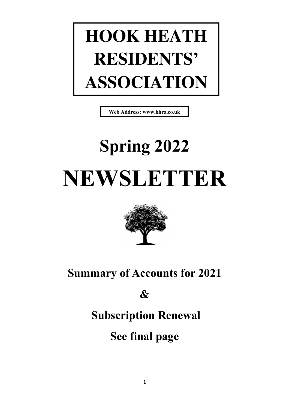# **HOOK HEATH RESIDENTS' ASSOCIATION**

**Web Address: www.hhra.co.uk**

# Spring 2022 NEWSLETTER



## Summary of Accounts for 2021

&

## Subscription Renewal

See final page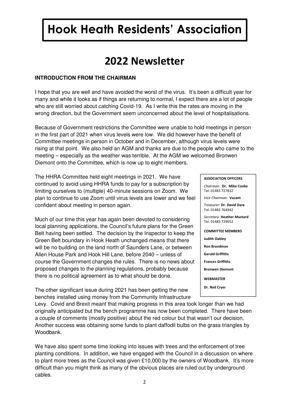# Hook Heath Residents' Association Hook Heath Residents' Association

### 2022 Newsletter

#### **INTRODUCTION FROM THE CHAIRMAN**

I hope that you are well and have avoided the worst of the virus. It's been a difficult year for many and while it looks as if things are returning to normal, I expect there are a lot of people who are still worried about catching Covid-19. As I write this the rates are moving in the wrong direction, but the Government seem unconcerned about the level of hospitalisations.

Because of Government restrictions the Committee were unable to hold meetings in person in the first part of 2021 when virus levels were low. We did however have the benefit of Committee meetings in person in October and in December, although virus levels were rising at that point. We also held an AGM and thanks are due to the people who came to the meeting – especially as the weather was terrible. At the AGM we welcomed Bronwen Diemont onto the Committee, which is now up to eight members.

The HHRA Committee held eight meetings in 2021. We have continued to avoid using HHRA funds to pay for a subscription by limiting ourselves to (multiple) 40-minute sessions on Zoom. We plan to continue to use Zoom until virus levels are lower and we feel confident about meeting in person again.

Much of our time this year has again been devoted to considering local planning applications, the Council's future plans for the Green Belt having been settled. The decision by the Inspector to keep the Green Belt boundary in Hook Heath unchanged means that there will be no building on the land north of Saunders Lane, or between Allen House Park and Hook Hill Lane, before 2040 – unless of course the Government changes the rules. There is no news about proposed changes to the planning regulations, probably because there is no political agreement as to what should be done.

The other significant issue during 2021 has been getting the new benches installed using money from the Community Infrastructure

Levy. Covid and Brexit meant that making progress in this area took longer than we had originally anticipated but the bench programme has now been completed. There have been a couple of comments (mostly positive) about the red colour but that wasn't our decision. Another success was obtaining some funds to plant daffodil bulbs on the grass triangles by Woodbank.

We have also spent some time looking into issues with trees and the enforcement of tree planting conditions. In addition, we have engaged with the Council in a discussion on where to plant more trees as the Council was given £10,000 by the owners of Woodbank. It's more difficult than you might think as many of the obvious places are ruled out by underground cables.

#### ASSOCIATION OFFICERS

| Chairman: Dr. Mike Cooke<br>Tel: 01483 727832   |
|-------------------------------------------------|
| Vice Chairman: Vacant                           |
| Treasurer: Dr. David Dare<br>Tel: 01483 764942  |
| Secretary: Heather Mustard<br>Tel: 01483 729052 |
| <b>COMMITTEF MEMBERS</b>                        |
| <b>Judith Oakley</b>                            |
| <b>Ron Brandman</b>                             |
| <b>Gerald Griffiths</b>                         |
| <b>Frances Griffiths</b>                        |
| <b>Bronwen Diemont</b>                          |
| <b>WFBMASTFR</b>                                |
| Dr. Neil Crver                                  |
|                                                 |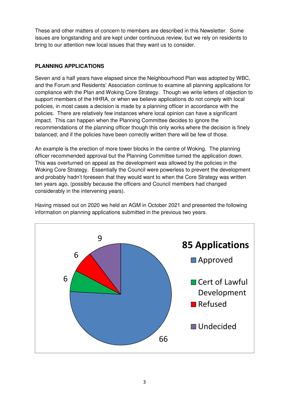These and other matters of concern to members are described in this Newsletter. Some issues are longstanding and are kept under continuous review, but we rely on residents to bring to our attention new local issues that they want us to consider.

#### **PLANNING APPLICATIONS**

Seven and a half years have elapsed since the Neighbourhood Plan was adopted by WBC, and the Forum and Residents' Association continue to examine all planning applications for compliance with the Plan and Woking Core Strategy. Though we write letters of objection to support members of the HHRA, or when we believe applications do not comply with local policies, in most cases a decision is made by a planning officer in accordance with the policies. There are relatively few instances where local opinion can have a significant impact. This can happen when the Planning Committee decides to ignore the recommendations of the planning officer though this only works where the decision is finely balanced; and if the policies have been correctly written there will be few of those.

An example is the erection of more tower blocks in the centre of Woking. The planning officer recommended approval but the Planning Committee turned the application down. This was overturned on appeal as the development was allowed by the policies in the Woking Core Strategy. Essentially the Council were powerless to prevent the development and probably hadn't foreseen that they would want to when the Core Strategy was written ten years ago, (possibly because the officers and Council members had changed considerably in the intervening years).



Having missed out on 2020 we held an AGM in October 2021 and presented the following information on planning applications submitted in the previous two years.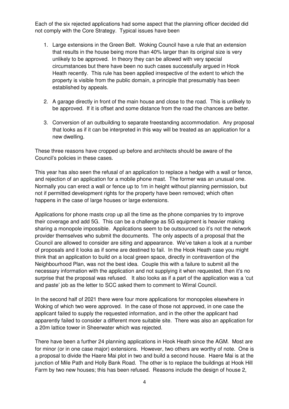Each of the six rejected applications had some aspect that the planning officer decided did not comply with the Core Strategy. Typical issues have been

- 1. Large extensions in the Green Belt. Woking Council have a rule that an extension that results in the house being more than 40% larger than its original size is very unlikely to be approved. In theory they can be allowed with very special circumstances but there have been no such cases successfully argued in Hook Heath recently. This rule has been applied irrespective of the extent to which the property is visible from the public domain, a principle that presumably has been established by appeals.
- 2. A garage directly in front of the main house and close to the road. This is unlikely to be approved. If it is offset and some distance from the road the chances are better.
- 3. Conversion of an outbuilding to separate freestanding accommodation. Any proposal that looks as if it can be interpreted in this way will be treated as an application for a new dwelling.

These three reasons have cropped up before and architects should be aware of the Council's policies in these cases.

This year has also seen the refusal of an application to replace a hedge with a wall or fence, and rejection of an application for a mobile phone mast. The former was an unusual one. Normally you can erect a wall or fence up to 1m in height without planning permission, but not if permitted development rights for the property have been removed; which often happens in the case of large houses or large extensions.

Applications for phone masts crop up all the time as the phone companies try to improve their coverage and add 5G. This can be a challenge as 5G equipment is heavier making sharing a monopole impossible. Applications seem to be outsourced so it's not the network provider themselves who submit the documents. The only aspects of a proposal that the Council are allowed to consider are siting and appearance. We've taken a look at a number of proposals and it looks as if some are destined to fail. In the Hook Heath case you might think that an application to build on a local green space, directly in contravention of the Neighbourhood Plan, was not the best idea. Couple this with a failure to submit all the necessary information with the application and not supplying it when requested, then it's no surprise that the proposal was refused. It also looks as if a part of the application was a 'cut and paste' job as the letter to SCC asked them to comment to Wirral Council.

In the second half of 2021 there were four more applications for monopoles elsewhere in Woking of which two were approved. In the case of those not approved, in one case the applicant failed to supply the requested information, and in the other the applicant had apparently failed to consider a different more suitable site. There was also an application for a 20m lattice tower in Sheerwater which was rejected.

There have been a further 24 planning applications in Hook Heath since the AGM. Most are for minor (or in one case major) extensions. However, two others are worthy of note. One is a proposal to divide the Haere Mai plot in two and build a second house. Haere Mai is at the junction of Mile Path and Holly Bank Road. The other is to replace the buildings at Hook Hill Farm by two new houses; this has been refused. Reasons include the design of house 2,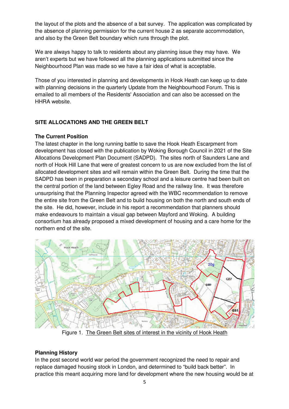the layout of the plots and the absence of a bat survey. The application was complicated by the absence of planning permission for the current house 2 as separate accommodation, and also by the Green Belt boundary which runs through the plot.

We are always happy to talk to residents about any planning issue they may have. We aren't experts but we have followed all the planning applications submitted since the Neighbourhood Plan was made so we have a fair idea of what is acceptable.

Those of you interested in planning and developments in Hook Heath can keep up to date with planning decisions in the quarterly Update from the Neighbourhood Forum. This is emailed to all members of the Residents' Association and can also be accessed on the HHRA website.

#### **SITE ALLOCATIONS AND THE GREEN BELT**

#### **The Current Position**

The latest chapter in the long running battle to save the Hook Heath Escarpment from development has closed with the publication by Woking Borough Council in 2021 of the Site Allocations Development Plan Document (SADPD). The sites north of Saunders Lane and north of Hook Hill Lane that were of greatest concern to us are now excluded from the list of allocated development sites and will remain within the Green Belt. During the time that the SADPD has been in preparation a secondary school and a leisure centre had been built on the central portion of the land between Egley Road and the railway line. It was therefore unsurprising that the Planning Inspector agreed with the WBC recommendation to remove the entire site from the Green Belt and to build housing on both the north and south ends of the site. He did, however, include in his report a recommendation that planners should make endeavours to maintain a visual gap between Mayford and Woking. A building consortium has already proposed a mixed development of housing and a care home for the northern end of the site.



Figure 1. The Green Belt sites of interest in the vicinity of Hook Heath

#### **Planning History**

In the post second world war period the government recognized the need to repair and replace damaged housing stock in London, and determined to "build back better". In practice this meant acquiring more land for development where the new housing would be at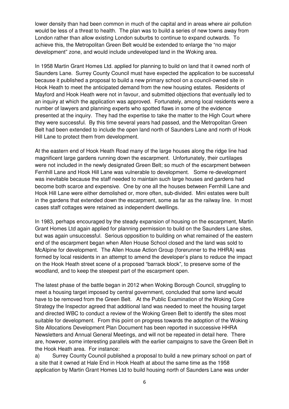lower density than had been common in much of the capital and in areas where air pollution would be less of a threat to health. The plan was to build a series of new towns away from London rather than allow existing London suburbs to continue to expand outwards. To achieve this, the Metropolitan Green Belt would be extended to enlarge the "no major development" zone, and would include undeveloped land in the Woking area.

In 1958 Martin Grant Homes Ltd. applied for planning to build on land that it owned north of Saunders Lane. Surrey County Council must have expected the application to be successful because it published a proposal to build a new primary school on a council-owned site in Hook Heath to meet the anticipated demand from the new housing estates. Residents of Mayford and Hook Heath were not in favour, and submitted objections that eventually led to an inquiry at which the application was approved. Fortunately, among local residents were a number of lawyers and planning experts who spotted flaws in some of the evidence presented at the inquiry. They had the expertise to take the matter to the High Court where they were successful. By this time several years had passed, and the Metropolitan Green Belt had been extended to include the open land north of Saunders Lane and north of Hook Hill Lane to protect them from development.

At the eastern end of Hook Heath Road many of the large houses along the ridge line had magnificent large gardens running down the escarpment. Unfortunately, their curtilages were not included in the newly designated Green Belt; so much of the escarpment between Fernhill Lane and Hook Hill Lane was vulnerable to development. Some re-development was inevitable because the staff needed to maintain such large houses and gardens had become both scarce and expensive. One by one all the houses between Fernhill Lane and Hook Hill Lane were either demolished or, more often, sub-divided. Mini estates were built in the gardens that extended down the escarpment, some as far as the railway line. In most cases staff cottages were retained as independent dwellings.

In 1983, perhaps encouraged by the steady expansion of housing on the escarpment, Martin Grant Homes Ltd again applied for planning permission to build on the Saunders Lane sites, but was again unsuccessful. Serious opposition to building on what remained of the eastern end of the escarpment began when Allen House School closed and the land was sold to McAlpine for development. The Allen House Action Group (forerunner to the HHRA) was formed by local residents in an attempt to amend the developer's plans to reduce the impact on the Hook Heath street scene of a proposed "barrack block", to preserve some of the woodland, and to keep the steepest part of the escarpment open.

The latest phase of the battle began in 2012 when Woking Borough Council, struggling to meet a housing target imposed by central government, concluded that some land would have to be removed from the Green Belt. At the Public Examination of the Woking Core Strategy the Inspector agreed that additional land was needed to meet the housing target and directed WBC to conduct a review of the Woking Green Belt to identify the sites most suitable for development. From this point on progress towards the adoption of the Woking Site Allocations Development Plan Document has been reported in successive HHRA Newsletters and Annual General Meetings, and will not be repeated in detail here. There are, however, some interesting parallels with the earlier campaigns to save the Green Belt in the Hook Heath area. For instance:

a) Surrey County Council published a proposal to build a new primary school on part of a site that it owned at Hale End in Hook Heath at about the same time as the 1958 application by Martin Grant Homes Ltd to build housing north of Saunders Lane was under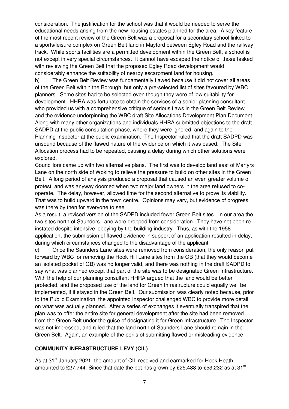consideration. The justification for the school was that it would be needed to serve the educational needs arising from the new housing estates planned for the area. A key feature of the most recent review of the Green Belt was a proposal for a secondary school linked to a sports/leisure complex on Green Belt land in Mayford between Egley Road and the railway track. While sports facilities are a permitted development within the Green Belt, a school is not except in very special circumstances. It cannot have escaped the notice of those tasked with reviewing the Green Belt that the proposed Egley Road development would considerably enhance the suitability of nearby escarpment land for housing.

b) The Green Belt Review was fundamentally flawed because it did not cover all areas of the Green Belt within the Borough, but only a pre-selected list of sites favoured by WBC planners. Some sites had to be selected even though they were of low suitability for development. HHRA was fortunate to obtain the services of a senior planning consultant who provided us with a comprehensive critique of serious flaws in the Green Belt Review and the evidence underpinning the WBC draft Site Allocations Development Plan Document. Along with many other organizations and individuals HHRA submitted objections to the draft SADPD at the public consultation phase, where they were ignored, and again to the Planning Inspector at the public examination. The Inspector ruled that the draft SADPD was unsound because of the flawed nature of the evidence on which it was based. The Site Allocation process had to be repeated, causing a delay during which other solutions were explored.

Councillors came up with two alternative plans. The first was to develop land east of Martyrs Lane on the north side of Woking to relieve the pressure to build on other sites in the Green Belt. A long period of analysis produced a proposal that caused an even greater volume of protest, and was anyway doomed when two major land owners in the area refused to cooperate. The delay, however, allowed time for the second alternative to prove its viability. That was to build upward in the town centre. Opinions may vary, but evidence of progress was there by then for everyone to see.

As a result, a revised version of the SADPD included fewer Green Belt sites. In our area the two sites north of Saunders Lane were dropped from consideration. They have not been reinstated despite intensive lobbying by the building industry. Thus, as with the 1958 application, the submission of flawed evidence in support of an application resulted in delay, during which circumstances changed to the disadvantage of the applicant.

c) Once the Saunders Lane sites were removed from consideration, the only reason put forward by WBC for removing the Hook Hill Lane sites from the GB (that they would become an isolated pocket of GB) was no longer valid, and there was nothing in the draft SADPD to say what was planned except that part of the site was to be designated Green Infrastructure. With the help of our planning consultant HHRA argued that the land would be better protected, and the proposed use of the land for Green Infrastructure could equally well be implemented, if it stayed in the Green Belt. Our submission was clearly noted because, prior to the Public Examination, the appointed Inspector challenged WBC to provide more detail on what was actually planned. After a series of exchanges it eventually transpired that the plan was to offer the entire site for general development after the site had been removed from the Green Belt under the guise of designating it for Green Infrastructure. The Inspector was not impressed, and ruled that the land north of Saunders Lane should remain in the Green Belt. Again, an example of the perils of submitting flawed or misleading evidence!

#### **COMMUNITY INFRASTRUCTURE LEVY (CIL)**

As at 31<sup>st</sup> January 2021, the amount of CIL received and earmarked for Hook Heath amounted to £27,744. Since that date the pot has grown by £25,488 to £53,232 as at 31<sup>st</sup>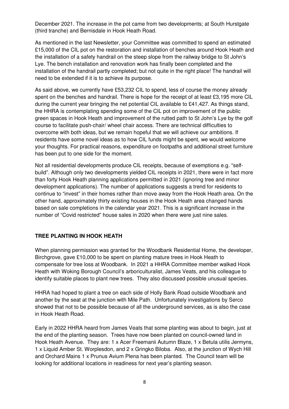December 2021. The increase in the pot came from two developments; at South Hurstgate (third tranche) and Bernisdale in Hook Heath Road.

As mentioned in the last Newsletter, your Committee was committed to spend an estimated £15,000 of the CIL pot on the restoration and installation of benches around Hook Heath and the installation of a safety handrail on the steep slope from the railway bridge to St John's Lye. The bench installation and renovation work has finally been completed and the installation of the handrail partly completed; but not quite in the right place! The handrail will need to be extended if it is to achieve its purpose.

As said above, we currently have £53,232 CIL to spend, less of course the money already spent on the benches and handrail. There is hope for the receipt of at least £3,195 more CIL during the current year bringing the net potential CIL available to £41,427. As things stand, the HHRA is contemplating spending some of the CIL pot on improvement of the public green spaces in Hook Heath and improvement of the rutted path to St John's Lye by the golf course to facilitate push-chair/ wheel chair access. There are technical difficulties to overcome with both ideas, but we remain hopeful that we will achieve our ambitions. If residents have some novel ideas as to how CIL funds might be spent, we would welcome your thoughts. For practical reasons, expenditure on footpaths and additional street furniture has been put to one side for the moment.

Not all residential developments produce CIL receipts, because of exemptions e.g. "selfbuild". Although only two developments yielded CIL receipts in 2021, there were in fact more than forty Hook Heath planning applications permitted in 2021 (ignoring tree and minor development applications). The number of applications suggests a trend for residents to continue to "invest" in their homes rather than move away from the Hook Heath area. On the other hand, approximately thirty existing houses in the Hook Heath area changed hands based on sale completions in the calendar year 2021. This is a significant increase in the number of "Covid restricted" house sales in 2020 when there were just nine sales.

#### **TREE PLANTING IN HOOK HEATH**

When planning permission was granted for the Woodbank Residential Home, the developer, Birchgrove, gave £10,000 to be spent on planting mature trees in Hook Heath to compensate for tree loss at Woodbank. In 2021 a HHRA Committee member walked Hook Heath with Woking Borough Council's arboriculturalist, James Veats, and his colleague to identify suitable places to plant new trees. They also discussed possible unusual species.

HHRA had hoped to plant a tree on each side of Holly Bank Road outside Woodbank and another by the seat at the junction with Mile Path. Unfortunately investigations by Serco showed that not to be possible because of all the underground services, as is also the case in Hook Heath Road.

Early in 2022 HHRA heard from James Veats that some planting was about to begin, just at the end of the planting season. Trees have now been planted on council-owned land in Hook Heath Avenue. They are: 1 x Acer Freemanii Autumn Blaze, 1 x Betula utilis Jermyns, 1 x Liquid Amber St. Worplesdon, and 2 x Gringko Biloba. Also, at the junction of Wych Hill and Orchard Mains 1 x Prunus Avium Plena has been planted. The Council team will be looking for additional locations in readiness for next year's planting season.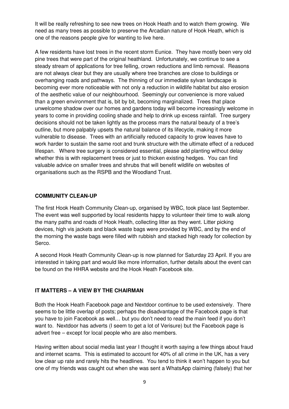It will be really refreshing to see new trees on Hook Heath and to watch them growing. We need as many trees as possible to preserve the Arcadian nature of Hook Heath, which is one of the reasons people give for wanting to live here.

A few residents have lost trees in the recent storm Eunice. They have mostly been very old pine trees that were part of the original heathland. Unfortunately, we continue to see a steady stream of applications for tree felling, crown reductions and limb removal. Reasons are not always clear but they are usually where tree branches are close to buildings or overhanging roads and pathways. The thinning of our immediate sylvan landscape is becoming ever more noticeable with not only a reduction in wildlife habitat but also erosion of the aesthetic value of our neighbourhood. Seemingly our convenience is more valued than a green environment that is, bit by bit, becoming marginalized. Trees that place unwelcome shadow over our homes and gardens today will become increasingly welcome in years to come in providing cooling shade and help to drink up excess rainfall. Tree surgery decisions should not be taken lightly as the process mars the natural beauty of a tree's outline, but more palpably upsets the natural balance of its lifecycle, making it more vulnerable to disease. Trees with an artificially reduced capacity to grow leaves have to work harder to sustain the same root and trunk structure with the ultimate effect of a reduced lifespan. Where tree surgery is considered essential, please add planting without delay whether this is with replacement trees or just to thicken existing hedges. You can find valuable advice on smaller trees and shrubs that will benefit wildlife on websites of organisations such as the RSPB and the Woodland Trust.

#### **COMMUNITY CLEAN-UP**

The first Hook Heath Community Clean-up, organised by WBC, took place last September. The event was well supported by local residents happy to volunteer their time to walk along the many paths and roads of Hook Heath, collecting litter as they went. Litter picking devices, high vis jackets and black waste bags were provided by WBC, and by the end of the morning the waste bags were filled with rubbish and stacked high ready for collection by Serco.

A second Hook Heath Community Clean-up is now planned for Saturday 23 April. If you are interested in taking part and would like more information, further details about the event can be found on the HHRA website and the Hook Heath Facebook site.

#### **IT MATTERS – A VIEW BY THE CHAIRMAN**

Both the Hook Heath Facebook page and Nextdoor continue to be used extensively. There seems to be little overlap of posts; perhaps the disadvantage of the Facebook page is that you have to join Facebook as well… but you don't need to read the main feed if you don't want to. Nextdoor has adverts (I seem to get a lot of Verisure) but the Facebook page is advert free – except for local people who are also members.

Having written about social media last year I thought it worth saying a few things about fraud and internet scams. This is estimated to account for 40% of all crime in the UK, has a very low clear up rate and rarely hits the headlines. You tend to think it won't happen to you but one of my friends was caught out when she was sent a WhatsApp claiming (falsely) that her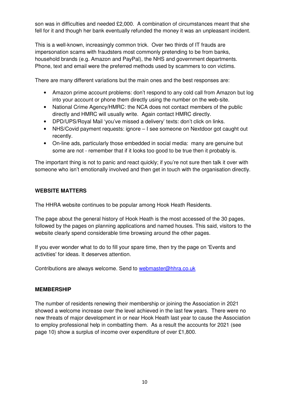son was in difficulties and needed £2,000. A combination of circumstances meant that she fell for it and though her bank eventually refunded the money it was an unpleasant incident.

This is a well-known, increasingly common trick. Over two thirds of IT frauds are impersonation scams with fraudsters most commonly pretending to be from banks, household brands (e.g. Amazon and PayPal), the NHS and government departments. Phone, text and email were the preferred methods used by scammers to con victims.

There are many different variations but the main ones and the best responses are:

- Amazon prime account problems: don't respond to any cold call from Amazon but log into your account or phone them directly using the number on the web-site.
- National Crime Agency/HMRC: the NCA does not contact members of the public directly and HMRC will usually write. Again contact HMRC directly.
- DPD/UPS/Royal Mail 'you've missed a delivery' texts: don't click on links.
- NHS/Covid payment requests: ignore I see someone on Nextdoor got caught out recently.
- On-line ads, particularly those embedded in social media: many are genuine but some are not - remember that if it looks too good to be true then it probably is.

The important thing is not to panic and react quickly; if you're not sure then talk it over with someone who isn't emotionally involved and then get in touch with the organisation directly.

#### **WEBSITE MATTERS**

The HHRA website continues to be popular among Hook Heath Residents.

The page about the general history of Hook Heath is the most accessed of the 30 pages, followed by the pages on planning applications and named houses. This said, visitors to the website clearly spend considerable time browsing around the other pages.

If you ever wonder what to do to fill your spare time, then try the page on 'Events and activities' for ideas. It deserves attention.

Contributions are always welcome. Send to webmaster@hhra.co.uk

#### **MEMBERSHIP**

The number of residents renewing their membership or joining the Association in 2021 showed a welcome increase over the level achieved in the last few years. There were no new threats of major development in or near Hook Heath last year to cause the Association to employ professional help in combatting them. As a result the accounts for 2021 (see page 10) show a surplus of income over expenditure of over £1,800.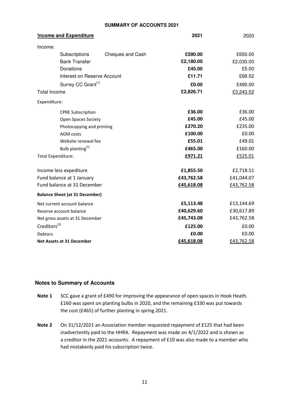#### **SUMMARY OF ACCOUNTS 2021**

| Income and Expenditure                | 2021       | 2020       |
|---------------------------------------|------------|------------|
| Income:                               |            |            |
| Subscriptions<br>Cheques and Cash     | £590.00    | £650.00    |
| <b>Bank Transfer</b>                  | £2,180.00  | £2,030.00  |
| Donations                             | £45.00     | £5.00      |
| Interest on Reserve Account           | £11.71     | £68.52     |
| Surrey CC Grant <sup>(1)</sup>        | £0.00      | £490.00    |
| <b>Total Income</b>                   | £2,826.71  | £3,243.52  |
| Expenditure:                          |            |            |
| <b>CPRE Subscription</b>              | £36.00     | £36.00     |
| <b>Open Spaces Society</b>            | £45.00     | £45.00     |
| Photocopying and printing             | £270.20    | £235.00    |
| <b>AGM</b> costs                      | £100.00    | £0.00      |
| Website renewal fee                   | £55.01     | £49.01     |
| Bulb planting <sup>(1)</sup>          | £465.00    | £160.00    |
| <b>Total Expenditure:</b>             | £971.21    | £525.01    |
| Income less expediture                | £1,855.50  | £2,718.51  |
| Fund balance at 1 January             | £43,762.58 | £41,044.07 |
| Fund balance at 31 December           | £45,618.08 | £43,762.58 |
| <b>Balance Sheet (at 31 December)</b> |            |            |
| Net current account balance           | £5,113.48  | £13,144.69 |
| Reserve account balance               | £40,629.60 | £30,617.89 |
| Net gross assets at 31 December       | £45,743.08 | £43,762.58 |
| Creditors <sup>(2)</sup>              | £125.00    | £0.00      |
| <b>Debtors</b>                        | £0.00      | £0.00      |
| <b>Net Assets at 31 December</b>      | £45,618.08 | £43,762.58 |

#### **Notes to Summary of Accounts**

- Note 1 SCC gave a grant of £490 for improving the appearance of open spaces in Hook Heath. £160 was spent on planting bulbs in 2020, and the remaining £330 was put towards the cost (£465) of further planting in spring 2021.
- Note 2 On 31/12/2021 an Association member requested repayment of £125 that had been inadvertently paid to the HHRA. Repayment was made on 4/1/2022 and is shown as a creditor in the 2021 accounts. A repayment of £10 was also made to a member who had mistakenly paid his subscription twice.